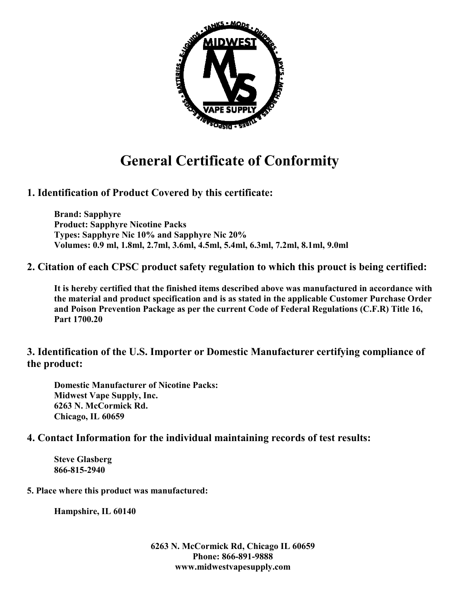

# **General Certificate of Conformity**

## **1. Identification of Product Covered by this certificate:**

**Brand: Sapphyre Product: Sapphyre Nicotine Packs Types: Sapphyre Nic 10% and Sapphyre Nic 20% Volumes: 0.9 ml, 1.8ml, 2.7ml, 3.6ml, 4.5ml, 5.4ml, 6.3ml, 7.2ml, 8.1ml, 9.0ml** 

### **2. Citation of each CPSC product safety regulation to which this prouct is being certified:**

**It is hereby certified that the finished items described above was manufactured in accordance with the material and product specification and is as stated in the applicable Customer Purchase Order and Poison Prevention Package as per the current Code of Federal Regulations (C.F.R) Title 16, Part 1700.20** 

### **3. Identification of the U.S. Importer or Domestic Manufacturer certifying compliance of the product:**

**Domestic Manufacturer of Nicotine Packs: Midwest Vape Supply, Inc. 6263 N. McCormick Rd. Chicago, IL 60659** 

#### **4. Contact Information for the individual maintaining records of test results:**

**Steve Glasberg 866-815-2940** 

#### **5. Place where this product was manufactured:**

**Hampshire, IL 60140** 

**6263 N. McCormick Rd, Chicago IL 60659 Phone: 866-891-9888 www.midwestvapesupply.com**